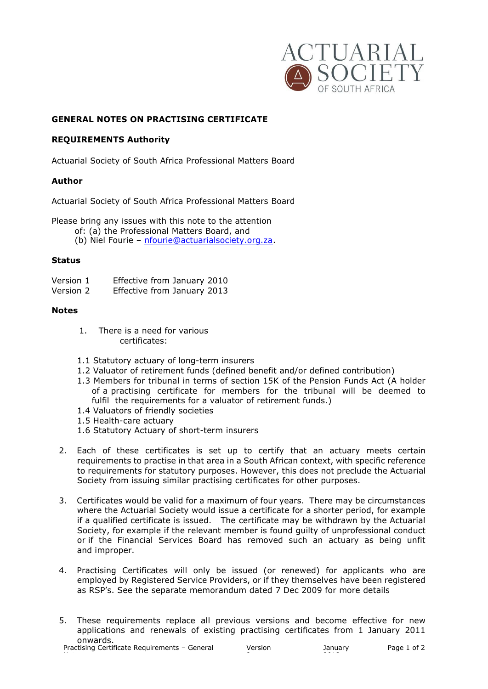

# **GENERAL NOTES ON PRACTISING CERTIFICATE**

## **REQUIREMENTS Authority**

Actuarial Society of South Africa Professional Matters Board

## **Author**

Actuarial Society of South Africa Professional Matters Board

Please bring any issues with this note to the attention

- of: (a) the Professional Matters Board, and
- (b) Niel Fourie [nfourie@actuarialsociety.org.za.](mailto:nfourie@actuarialsociety.org.za)

## **Status**

- Version 1 Effective from January 2010<br>Version 2 Effective from January 2013
- Effective from January 2013

## **Notes**

- 1. There is a need for various certificates:
- 1.1 Statutory actuary of long-term insurers
- 1.2 Valuator of retirement funds (defined benefit and/or defined contribution)
- 1.3 Members for tribunal in terms of section 15K of the Pension Funds Act (A holder of a practising certificate for members for the tribunal will be deemed to fulfil the requirements for a valuator of retirement funds.)
- 1.4 Valuators of friendly societies
- 1.5 Health-care actuary
- 1.6 Statutory Actuary of short-term insurers
- 2. Each of these certificates is set up to certify that an actuary meets certain requirements to practise in that area in a South African context, with specific reference to requirements for statutory purposes. However, this does not preclude the Actuarial Society from issuing similar practising certificates for other purposes.
- 3. Certificates would be valid for a maximum of four years. There may be circumstances where the Actuarial Society would issue a certificate for a shorter period, for example if a qualified certificate is issued. The certificate may be withdrawn by the Actuarial Society, for example if the relevant member is found guilty of unprofessional conduct or if the Financial Services Board has removed such an actuary as being unfit and improper.
- 4. Practising Certificates will only be issued (or renewed) for applicants who are employed by Registered Service Providers, or if they themselves have been registered as RSP's. See the separate memorandum dated 7 Dec 2009 for more details
- 5. These requirements replace all previous versions and become effective for new applications and renewals of existing practising certificates from 1 January 2011 onwards.